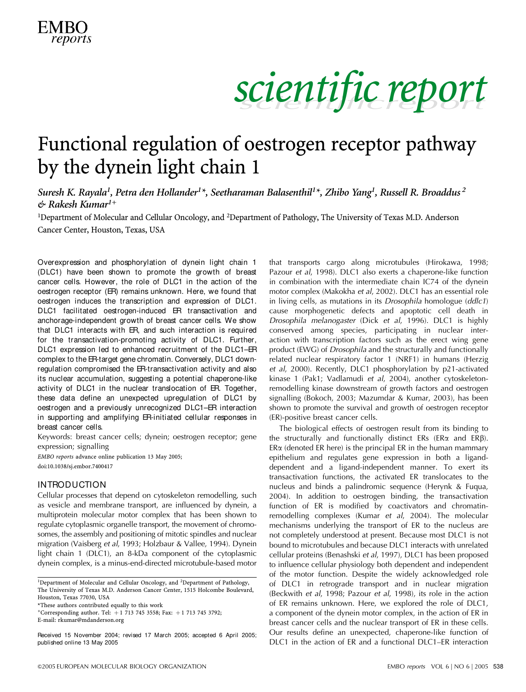

### Functional regulation of oestrogen receptor pathway by the dynein light chain 1

Suresh K. Rayala<sup>1</sup>, Petra den Hollander<sup>1×</sup>, Seetharaman Balasenthil<sup>1×</sup>, Zhibo Yang<sup>1</sup>, Russell R. Broaddus <sup>2</sup>  $\&$  Rakesh Kumar<sup>1+</sup>

<sup>1</sup>Department of Molecular and Cellular Oncology, and <sup>2</sup>Department of Pathology, The University of Texas M.D. Anderson Cancer Center, Houston, Texas, USA

Overexpression and phosphorylation of dynein light chain 1 (DLC1) have been shown to promote the growth of breast cancer cells. However, the role of DLC1 in the action of the oestrogen receptor (ER) remains unknown. Here, we found that oestrogen induces the transcription and expression of DLC1. DLC1 facilitated oestrogen-induced ER transactivation and anchorage-independent growth of breast cancer cells. We show that DLC1 interacts with ER, and such interaction is required for the transactivation-promoting activity of DLC1. Further, DLC1 expression led to enhanced recruitment of the DLC1–ER complex to the ER-target gene chromatin. Conversely, DLC1 downregulation compromised the ER-transactivation activity and also its nuclear accumulation, suggesting a potential chaperone-like activity of DLC1 in the nuclear translocation of ER. Together, these data define an unexpected upregulation of DLC1 by oestrogen and a previously unrecognized DLC1–ER interaction in supporting and amplifying ER-initiated cellular responses in breast cancer cells.

Keywords: breast cancer cells; dynein; oestrogen receptor; gene expression; signalling

EMBO reports advance online publication 13 May 2005; doi:10.1038/sj.embor.7400417

#### INTRODUCTION

Cellular processes that depend on cytoskeleton remodelling, such as vesicle and membrane transport, are influenced by dynein, a multiprotein molecular motor complex that has been shown to regulate cytoplasmic organelle transport, the movement of chromosomes, the assembly and positioning of mitotic spindles and nuclear migration (Vaisberg et al, 1993; Holzbaur & Vallee, 1994). Dynein light chain 1 (DLC1), an 8-kDa component of the cytoplasmic dynein complex, is a minus-end-directed microtubule-based motor

\*These authors contributed equally to this work

Received 15 November 2004; revised 17 March 2005; accepted 6 April 2005; published online 13 May 2005

that transports cargo along microtubules (Hirokawa, 1998; Pazour et al, 1998). DLC1 also exerts a chaperone-like function in combination with the intermediate chain IC74 of the dynein motor complex (Makokha et al, 2002). DLC1 has an essential role in living cells, as mutations in its Drosophila homologue (ddlc1) cause morphogenetic defects and apoptotic cell death in Drosophila melanogaster (Dick et al, 1996). DLC1 is highly conserved among species, participating in nuclear interaction with transcription factors such as the erect wing gene product (EWG) of Drosophila and the structurally and functionally related nuclear respiratory factor 1 (NRF1) in humans (Herzig et al, 2000). Recently, DLC1 phosphorylation by p21-activated kinase 1 (Pak1; Vadlamudi et al, 2004), another cytoskeletonremodelling kinase downstream of growth factors and oestrogen signalling (Bokoch, 2003; Mazumdar & Kumar, 2003), has been shown to promote the survival and growth of oestrogen receptor (ER)-positive breast cancer cells.

The biological effects of oestrogen result from its binding to the structurally and functionally distinct ERs (ER $\alpha$  and ER $\beta$ ).  $ER\alpha$  (denoted ER here) is the principal ER in the human mammary epithelium and regulates gene expression in both a liganddependent and a ligand-independent manner. To exert its transactivation functions, the activated ER translocates to the nucleus and binds a palindromic sequence (Herynk & Fuqua, 2004). In addition to oestrogen binding, the transactivation function of ER is modified by coactivators and chromatinremodelling complexes (Kumar et al, 2004). The molecular mechanisms underlying the transport of ER to the nucleus are not completely understood at present. Because most DLC1 is not bound to microtubules and because DLC1 interacts with unrelated cellular proteins (Benashski et al, 1997), DLC1 has been proposed to influence cellular physiology both dependent and independent of the motor function. Despite the widely acknowledged role of DLC1 in retrograde transport and in nuclear migration (Beckwith et al, 1998; Pazour et al, 1998), its role in the action of ER remains unknown. Here, we explored the role of DLC1, a component of the dynein motor complex, in the action of ER in breast cancer cells and the nuclear transport of ER in these cells. Our results define an unexpected, chaperone-like function of DLC1 in the action of ER and a functional DLC1–ER interaction

<sup>1</sup>Department of Molecular and Cellular Oncology, and <sup>2</sup>Department of Pathology, The University of Texas M.D. Anderson Cancer Center, 1515 Holcombe Boulevard, Houston, Texas 77030, USA

<sup>+</sup>Corresponding author. Tel:  $+1$  713 745 3558; Fax:  $+1$  713 745 3792; E-mail: rkumar@mdanderson.org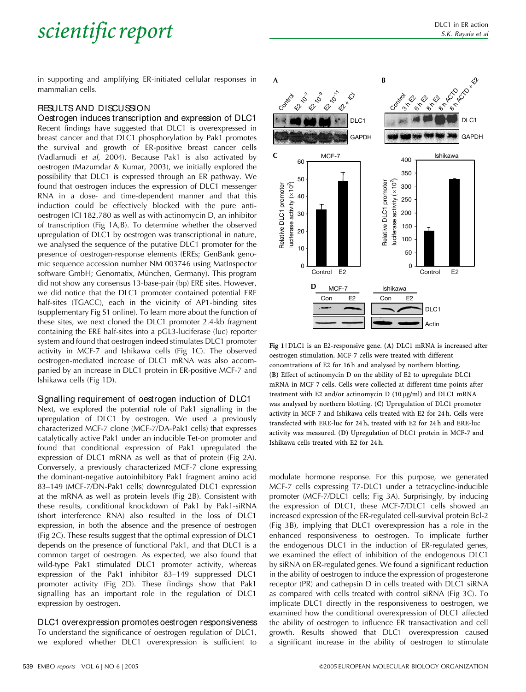in supporting and amplifying ER-initiated cellular responses in mammalian cells.

#### RESULTS AND DISCUSSION

Oestrogen induces transcription and expression of DLC1 Recent findings have suggested that DLC1 is overexpressed in breast cancer and that DLC1 phosphorylation by Pak1 promotes the survival and growth of ER-positive breast cancer cells (Vadlamudi et al, 2004). Because Pak1 is also activated by oestrogen (Mazumdar & Kumar, 2003), we initially explored the possibility that DLC1 is expressed through an ER pathway. We found that oestrogen induces the expression of DLC1 messenger RNA in a dose- and time-dependent manner and that this induction could be effectively blocked with the pure antioestrogen ICI 182,780 as well as with actinomycin D, an inhibitor of transcription (Fig 1A,B). To determine whether the observed upregulation of DLC1 by oestrogen was transcriptional in nature, we analysed the sequence of the putative DLC1 promoter for the presence of oestrogen-response elements (EREs; GenBank genomic sequence accession number NM 003746 using MatInspector software GmbH; Genomatix, München, Germany). This program did not show any consensus 13-base-pair (bp) ERE sites. However, we did notice that the DLC1 promoter contained potential ERE half-sites (TGACC), each in the vicinity of AP1-binding sites (supplementary Fig S1 online). To learn more about the function of these sites, we next cloned the DLC1 promoter 2.4-kb fragment containing the ERE half-sites into a pGL3-luciferase (luc) reporter system and found that oestrogen indeed stimulates DLC1 promoter activity in MCF-7 and Ishikawa cells (Fig 1C). The observed oestrogen-mediated increase of DLC1 mRNA was also accompanied by an increase in DLC1 protein in ER-positive MCF-7 and Ishikawa cells (Fig 1D).

#### Signalling requirement of oestrogen induction of DLC1

Next, we explored the potential role of Pak1 signalling in the upregulation of DLC1 by oestrogen. We used a previously characterized MCF-7 clone (MCF-7/DA-Pak1 cells) that expresses catalytically active Pak1 under an inducible Tet-on promoter and found that conditional expression of Pak1 upregulated the expression of DLC1 mRNA as well as that of protein (Fig 2A). Conversely, a previously characterized MCF-7 clone expressing the dominant-negative autoinhibitory Pak1 fragment amino acid 83–149 (MCF-7/DN-Pak1 cells) downregulated DLC1 expression at the mRNA as well as protein levels (Fig 2B). Consistent with these results, conditional knockdown of Pak1 by Pak1-siRNA (short interference RNA) also resulted in the loss of DLC1 expression, in both the absence and the presence of oestrogen (Fig 2C). These results suggest that the optimal expression of DLC1 depends on the presence of functional Pak1, and that DLC1 is a common target of oestrogen. As expected, we also found that wild-type Pak1 stimulated DLC1 promoter activity, whereas expression of the Pak1 inhibitor 83–149 suppressed DLC1 promoter activity (Fig 2D). These findings show that Pak1 signalling has an important role in the regulation of DLC1 expression by oestrogen.

DLC1 overexpression promotes oestrogen responsiveness To understand the significance of oestrogen regulation of DLC1, we explored whether DLC1 overexpression is sufficient to



Fig 1 | DLC1 is an E2-responsive gene. (A) DLC1 mRNA is increased after oestrogen stimulation. MCF-7 cells were treated with different concentrations of E2 for 16 h and analysed by northern blotting. (B) Effect of actinomycin D on the ability of E2 to upregulate DLC1 mRNA in MCF-7 cells. Cells were collected at different time points after treatment with E2 and/or actinomycin D (10 µg/ml) and DLC1 mRNA was analysed by northern blotting. (C) Upregulation of DLC1 promoter activity in MCF-7 and Ishikawa cells treated with E2 for 24 h. Cells were transfected with ERE-luc for 24 h, treated with E2 for 24 h and ERE-luc activity was measured. (D) Upregulation of DLC1 protein in MCF-7 and Ishikawa cells treated with E2 for 24 h.

modulate hormone response. For this purpose, we generated MCF-7 cells expressing T7-DLC1 under a tetracycline-inducible promoter (MCF-7/DLC1 cells; Fig 3A). Surprisingly, by inducing the expression of DLC1, these MCF-7/DLC1 cells showed an increased expression of the ER-regulated cell-survival protein Bcl-2 (Fig 3B), implying that DLC1 overexpression has a role in the enhanced responsiveness to oestrogen. To implicate further the endogenous DLC1 in the induction of ER-regulated genes, we examined the effect of inhibition of the endogenous DLC1 by siRNA on ER-regulated genes. We found a significant reduction in the ability of oestrogen to induce the expression of progesterone receptor (PR) and cathepsin D in cells treated with DLC1 siRNA as compared with cells treated with control siRNA (Fig 3C). To implicate DLC1 directly in the responsiveness to oestrogen, we examined how the conditional overexpression of DLC1 affected the ability of oestrogen to influence ER transactivation and cell growth. Results showed that DLC1 overexpression caused a significant increase in the ability of oestrogen to stimulate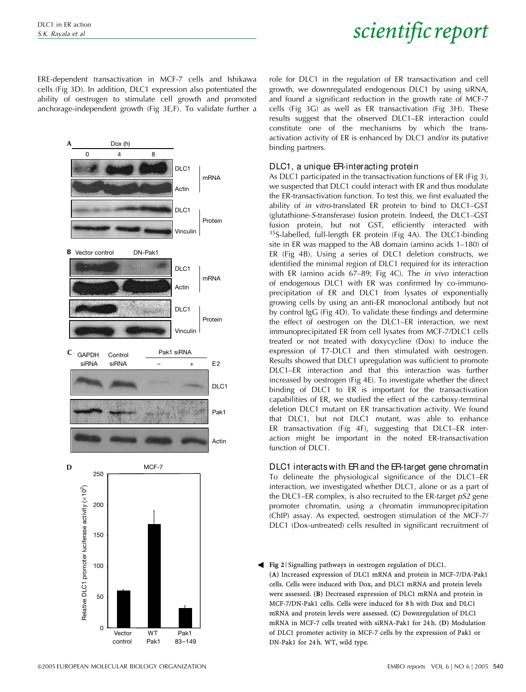ERE-dependent transactivation in MCF-7 cells and Ishikawa cells (Fig 3D). In addition, DLC1 expression also potentiated the ability of oestrogen to stimulate cell growth and promoted anchorage-independent growth (Fig 3E,F). To validate further a



role for DLC1 in the regulation of ER transactivation and cell growth, we downregulated endogenous DLC1 by using siRNA, and found a significant reduction in the growth rate of MCF-7 cells (Fig 3G) as well as ER transactivation (Fig 3H). These results suggest that the observed DLC1–ER interaction could constitute one of the mechanisms by which the transactivation activity of ER is enhanced by DLC1 and/or its putative binding partners.

#### DLC1, a unique ER-interacting protein

As DLC1 participated in the transactivation functions of ER (Fig 3), we suspected that DLC1 could interact with ER and thus modulate the ER-transactivation function. To test this, we first evaluated the ability of in vitro-translated ER protein to bind to DLC1–GST (glutathione-S-transferase) fusion protein. Indeed, the DLC1–GST fusion protein, but not GST, efficiently interacted with <sup>35</sup>S-labelled, full-length ER protein (Fig 4A). The DLC1-binding site in ER was mapped to the AB domain (amino acids 1–180) of ER (Fig 4B). Using a series of DLC1 deletion constructs, we identified the minimal region of DLC1 required for its interaction with ER (amino acids 67–89; Fig 4C). The in vivo interaction of endogenous DLC1 with ER was confirmed by co-immunoprecipitation of ER and DLC1 from lysates of exponentially growing cells by using an anti-ER monoclonal antibody but not by control IgG (Fig 4D). To validate these findings and determine the effect of oestrogen on the DLC1–ER interaction, we next immunoprecipitated ER from cell lysates from MCF-7/DLC1 cells treated or not treated with doxycycline (Dox) to induce the expression of T7-DLC1 and then stimulated with oestrogen. Results showed that DLC1 upregulation was sufficient to promote DLC1–ER interaction and that this interaction was further increased by oestrogen (Fig 4E). To investigate whether the direct binding of DLC1 to ER is important for the transactivation capabilities of ER, we studied the effect of the carboxy-terminal deletion DLC1 mutant on ER transactivation activity. We found that DLC1, but not DLC1 mutant, was able to enhance ER transactivation (Fig 4F), suggesting that DLC1–ER interaction might be important in the noted ER-transactivation function of DLC1.

#### DLC1 interacts with ER and the ER-target gene chromatin

To delineate the physiological significance of the DLC1–ER interaction, we investigated whether DLC1, alone or as a part of the DLC1–ER complex, is also recruited to the ER-target  $pS2$  gene promoter chromatin, using a chromatin immunoprecipitation (ChIP) assay. As expected, oestrogen stimulation of the MCF-7/ DLC1 (Dox-untreated) cells resulted in significant recruitment of

Fig 2 | Signalling pathways in oestrogen regulation of DLC1. 3 (A) Increased expression of DLC1 mRNA and protein in MCF-7/DA-Pak1 cells. Cells were induced with Dox, and DLC1 mRNA and protein levels were assessed. (B) Decreased expression of DLC1 mRNA and protein in MCF-7/DN-Pak1 cells. Cells were induced for 8 h with Dox and DLC1 mRNA and protein levels were assessed. (C) Downregulation of DLC1 mRNA in MCF-7 cells treated with siRNA-Pak1 for 24 h. (D) Modulation of DLC1 promoter activity in MCF-7 cells by the expression of Pak1 or DN-Pak1 for 24 h. WT, wild type.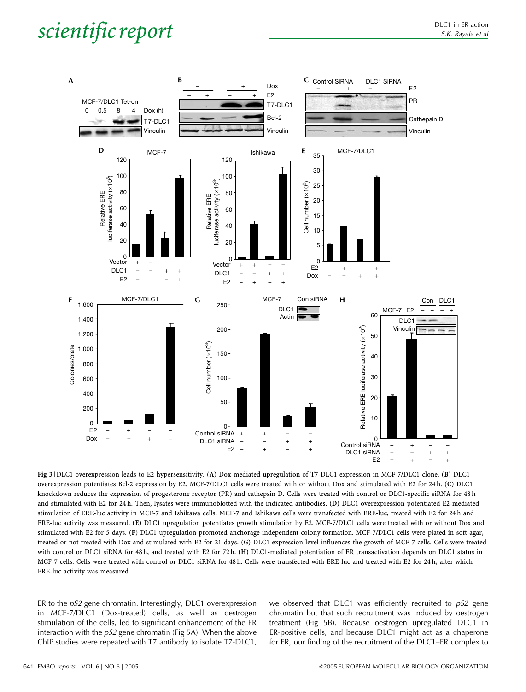

Fig 3 | DLC1 overexpression leads to E2 hypersensitivity. (A) Dox-mediated upregulation of T7-DLC1 expression in MCF-7/DLC1 clone. (B) DLC1 overexpression potentiates Bcl-2 expression by E2. MCF-7/DLC1 cells were treated with or without Dox and stimulated with E2 for 24 h. (C) DLC1 knockdown reduces the expression of progesterone receptor (PR) and cathepsin D. Cells were treated with control or DLC1-specific siRNA for 48 h and stimulated with E2 for 24 h. Then, lysates were immunoblotted with the indicated antibodies. (D) DLC1 overexpression potentiated E2-mediated stimulation of ERE-luc activity in MCF-7 and Ishikawa cells. MCF-7 and Ishikawa cells were transfected with ERE-luc, treated with E2 for 24 h and ERE-luc activity was measured. (E) DLC1 upregulation potentiates growth stimulation by E2. MCF-7/DLC1 cells were treated with or without Dox and stimulated with E2 for 5 days. (F) DLC1 upregulation promoted anchorage-independent colony formation. MCF-7/DLC1 cells were plated in soft agar, treated or not treated with Dox and stimulated with E2 for 21 days. (G) DLC1 expression level influences the growth of MCF-7 cells. Cells were treated with control or DLC1 siRNA for 48 h, and treated with E2 for 72 h. (H) DLC1-mediated potentiation of ER transactivation depends on DLC1 status in MCF-7 cells. Cells were treated with control or DLC1 siRNA for 48 h. Cells were transfected with ERE-luc and treated with E2 for 24 h, after which ERE-luc activity was measured.

ER to the pS2 gene chromatin. Interestingly, DLC1 overexpression in MCF-7/DLC1 (Dox-treated) cells, as well as oestrogen stimulation of the cells, led to significant enhancement of the ER interaction with the  $pS2$  gene chromatin (Fig 5A). When the above ChIP studies were repeated with T7 antibody to isolate T7-DLC1, we observed that DLC1 was efficiently recruited to  $pS2$  gene chromatin but that such recruitment was induced by oestrogen treatment (Fig 5B). Because oestrogen upregulated DLC1 in ER-positive cells, and because DLC1 might act as a chaperone for ER, our finding of the recruitment of the DLC1–ER complex to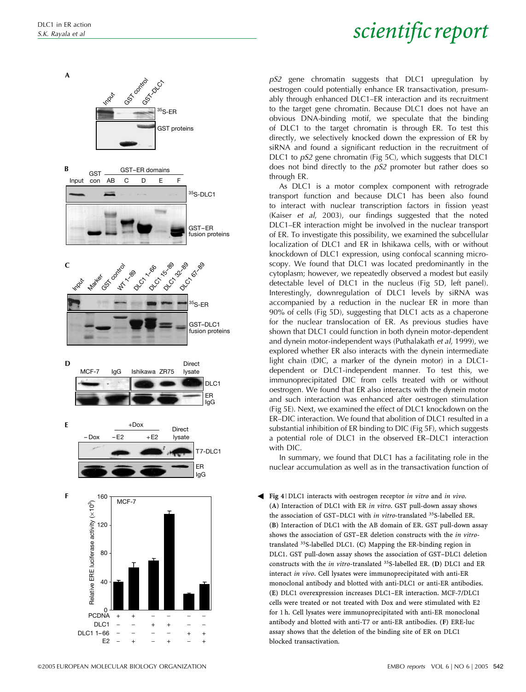

pS2 gene chromatin suggests that DLC1 upregulation by oestrogen could potentially enhance ER transactivation, presumably through enhanced DLC1–ER interaction and its recruitment to the target gene chromatin. Because DLC1 does not have an obvious DNA-binding motif, we speculate that the binding of DLC1 to the target chromatin is through ER. To test this directly, we selectively knocked down the expression of ER by siRNA and found a significant reduction in the recruitment of DLC1 to *pS2* gene chromatin (Fig 5C), which suggests that DLC1 does not bind directly to the pS2 promoter but rather does so through ER.

As DLC1 is a motor complex component with retrograde transport function and because DLC1 has been also found to interact with nuclear transcription factors in fission yeast (Kaiser et al, 2003), our findings suggested that the noted DLC1–ER interaction might be involved in the nuclear transport of ER. To investigate this possibility, we examined the subcellular localization of DLC1 and ER in Ishikawa cells, with or without knockdown of DLC1 expression, using confocal scanning microscopy. We found that DLC1 was located predominantly in the cytoplasm; however, we repeatedly observed a modest but easily detectable level of DLC1 in the nucleus (Fig 5D, left panel). Interestingly, downregulation of DLC1 levels by siRNA was accompanied by a reduction in the nuclear ER in more than 90% of cells (Fig 5D), suggesting that DLC1 acts as a chaperone for the nuclear translocation of ER. As previous studies have shown that DLC1 could function in both dynein motor-dependent and dynein motor-independent ways (Puthalakath et al, 1999), we explored whether ER also interacts with the dynein intermediate light chain (DIC, a marker of the dynein motor) in a DLC1 dependent or DLC1-independent manner. To test this, we immunoprecipitated DIC from cells treated with or without oestrogen. We found that ER also interacts with the dynein motor and such interaction was enhanced after oestrogen stimulation (Fig 5E). Next, we examined the effect of DLC1 knockdown on the ER–DIC interaction. We found that abolition of DLC1 resulted in a substantial inhibition of ER binding to DIC (Fig 5F), which suggests a potential role of DLC1 in the observed ER–DLC1 interaction with DIC.

In summary, we found that DLC1 has a facilitating role in the nuclear accumulation as well as in the transactivation function of

**F**  $\overline{160}$   $\overline{1160}$   $\overline{1160}$   $\overline{1160}$   $\overline{1160}$   $\overline{1160}$   $\overline{1160}$   $\overline{1160}$   $\overline{1160}$   $\overline{1160}$   $\overline{1160}$   $\overline{1160}$   $\overline{1160}$   $\overline{1160}$   $\overline{1160}$   $\overline{1160}$   $\overline{1160}$   $\overline{1160}$   $\$ (A) Interaction of DLC1 with ER in vitro. GST pull-down assay shows the association of GST–DLC1 with in vitro-translated <sup>35</sup>S-labelled ER. (B) Interaction of DLC1 with the AB domain of ER. GST pull-down assay shows the association of GST–ER deletion constructs with the in vitrotranslated <sup>35</sup>S-labelled DLC1. (C) Mapping the ER-binding region in DLC1. GST pull-down assay shows the association of GST–DLC1 deletion constructs with the in vitro-translated <sup>35</sup>S-labelled ER. (D) DLC1 and ER interact in vivo. Cell lysates were immunoprecipitated with anti-ER monoclonal antibody and blotted with anti-DLC1 or anti-ER antibodies. (E) DLC1 overexpression increases DLC1–ER interaction. MCF-7/DLC1 cells were treated or not treated with Dox and were stimulated with E2 for 1 h. Cell lysates were immunoprecipitated with anti-ER monoclonal antibody and blotted with anti-T7 or anti-ER antibodies. (F) ERE-luc assay shows that the deletion of the binding site of ER on DLC1 blocked transactivation.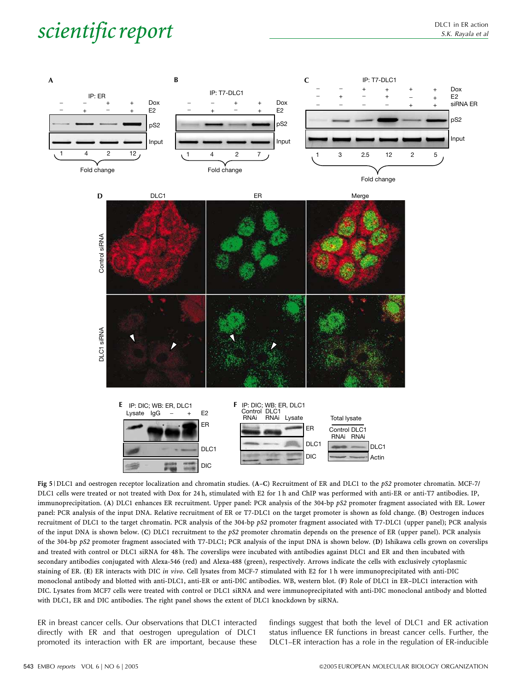

Fig 5 | DLC1 and oestrogen receptor localization and chromatin studies. (A–C) Recruitment of ER and DLC1 to the pS2 promoter chromatin. MCF-7/ DLC1 cells were treated or not treated with Dox for 24 h, stimulated with E2 for 1 h and ChIP was performed with anti-ER or anti-T7 antibodies. IP, immunoprecipitation. (A) DLC1 enhances ER recruitment. Upper panel: PCR analysis of the 304-bp pS2 promoter fragment associated with ER. Lower panel: PCR analysis of the input DNA. Relative recruitment of ER or T7-DLC1 on the target promoter is shown as fold change. (B) Oestrogen induces recruitment of DLC1 to the target chromatin. PCR analysis of the 304-bp pS2 promoter fragment associated with T7-DLC1 (upper panel); PCR analysis of the input DNA is shown below. (C) DLC1 recruitment to the pS2 promoter chromatin depends on the presence of ER (upper panel). PCR analysis of the 304-bp pS2 promoter fragment associated with T7-DLC1; PCR analysis of the input DNA is shown below. (D) Ishikawa cells grown on coverslips and treated with control or DLC1 siRNA for 48 h. The coverslips were incubated with antibodies against DLC1 and ER and then incubated with secondary antibodies conjugated with Alexa-546 (red) and Alexa-488 (green), respectively. Arrows indicate the cells with exclusively cytoplasmic staining of ER. (E) ER interacts with DIC in vivo. Cell lysates from MCF-7 stimulated with E2 for 1 h were immunoprecipitated with anti-DIC monoclonal antibody and blotted with anti-DLC1, anti-ER or anti-DIC antibodies. WB, western blot. (F) Role of DLC1 in ER–DLC1 interaction with DIC. Lysates from MCF7 cells were treated with control or DLC1 siRNA and were immunoprecipitated with anti-DIC monoclonal antibody and blotted with DLC1, ER and DIC antibodies. The right panel shows the extent of DLC1 knockdown by siRNA.

ER in breast cancer cells. Our observations that DLC1 interacted directly with ER and that oestrogen upregulation of DLC1 promoted its interaction with ER are important, because these findings suggest that both the level of DLC1 and ER activation status influence ER functions in breast cancer cells. Further, the DLC1–ER interaction has a role in the regulation of ER-inducible